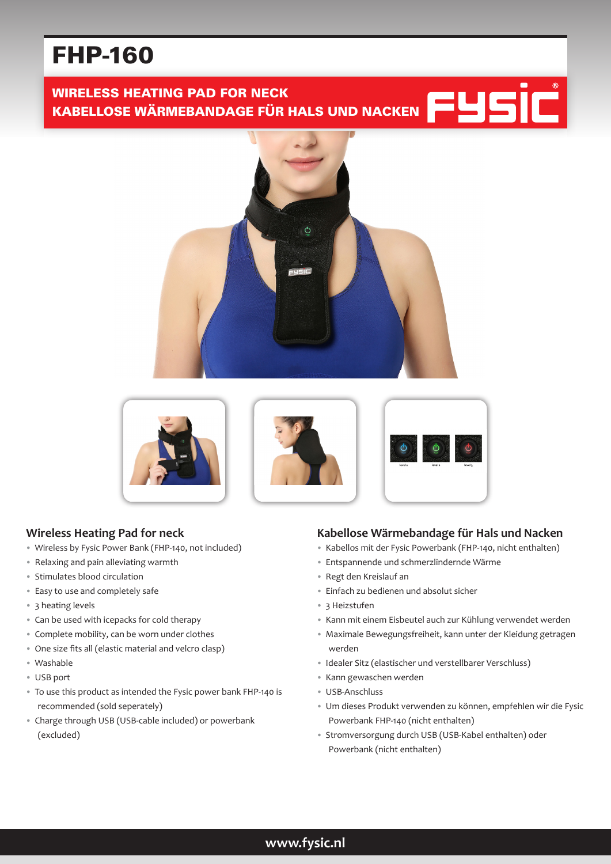# FHP-160

# WIRELESS HEATING PAD FOR NECK KABELLOSE WÄRMEBANDAGE FÜR HALS UND NACKEN









## **Wireless Heating Pad for neck**

- Wireless by Fysic Power Bank (FHP-140, not included)
- Relaxing and pain alleviating warmth
- Stimulates blood circulation
- Easy to use and completely safe
- 3 heating levels
- Can be used with icepacks for cold therapy
- Complete mobility, can be worn under clothes
- One size fits all (elastic material and velcro clasp)
- Washable
- USB port
- To use this product as intended the Fysic power bank FHP-140 is recommended (sold seperately)
- Charge through USB (USB-cable included) or powerbank (excluded)

## **Kabellose Wärmebandage für Hals und Nacken**

- Kabellos mit der Fysic Powerbank (FHP-140, nicht enthalten)
- Entspannende und schmerzlindernde Wärme
- Regt den Kreislauf an
- Einfach zu bedienen und absolut sicher
- 3 Heizstufen
- Kann mit einem Eisbeutel auch zur Kühlung verwendet werden
- Maximale Bewegungsfreiheit, kann unter der Kleidung getragen werden
- Idealer Sitz (elastischer und verstellbarer Verschluss)
- Kann gewaschen werden
- USB-Anschluss
- Um dieses Produkt verwenden zu können, empfehlen wir die Fysic Powerbank FHP-140 (nicht enthalten)
- Stromversorgung durch USB (USB-Kabel enthalten) oder Powerbank (nicht enthalten)

## **www.fysic.nl**